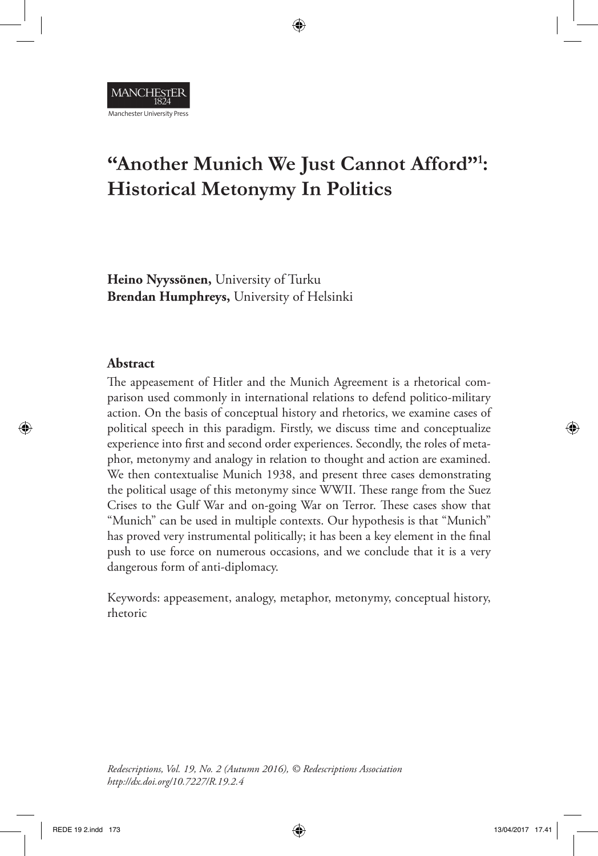

# **"Another Munich We Just Cannot Afford"1 : Historical Metonymy In Politics**

⊕

**Heino Nyyssönen,** University of Turku **Brendan Humphreys,** University of Helsinki

#### **Abstract**

⊕

The appeasement of Hitler and the Munich Agreement is a rhetorical comparison used commonly in international relations to defend politico-military action. On the basis of conceptual history and rhetorics, we examine cases of political speech in this paradigm. Firstly, we discuss time and conceptualize experience into frst and second order experiences. Secondly, the roles of metaphor, metonymy and analogy in relation to thought and action are examined. We then contextualise Munich 1938, and present three cases demonstrating the political usage of this metonymy since WWII. These range from the Suez Crises to the Gulf War and on-going War on Terror. These cases show that "Munich" can be used in multiple contexts. Our hypothesis is that "Munich" has proved very instrumental politically; it has been a key element in the fnal push to use force on numerous occasions, and we conclude that it is a very dangerous form of anti-diplomacy.

Keywords: appeasement, analogy, metaphor, metonymy, conceptual history, rhetoric

*Redescriptions, Vol. 19, No. 2 (Autumn 2016), © Redescriptions Association http://dx.doi.org/10.7227/R.19.2.4*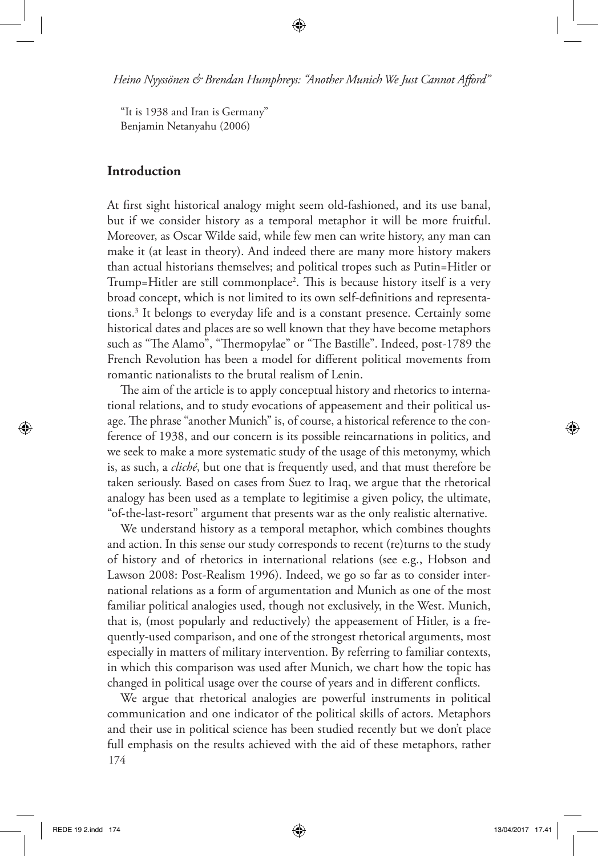⊕

"It is 1938 and Iran is Germany" Benjamin Netanyahu (2006)

## **Introduction**

At frst sight historical analogy might seem old-fashioned, and its use banal, but if we consider history as a temporal metaphor it will be more fruitful. Moreover, as Oscar Wilde said, while few men can write history, any man can make it (at least in theory). And indeed there are many more history makers than actual historians themselves; and political tropes such as Putin=Hitler or Trump=Hitler are still commonplace<sup>2</sup>. This is because history itself is a very broad concept, which is not limited to its own self-defnitions and representations.3 It belongs to everyday life and is a constant presence. Certainly some historical dates and places are so well known that they have become metaphors such as "The Alamo", "Thermopylae" or "The Bastille". Indeed, post-1789 the French Revolution has been a model for diferent political movements from romantic nationalists to the brutal realism of Lenin.

The aim of the article is to apply conceptual history and rhetorics to international relations, and to study evocations of appeasement and their political usage. The phrase "another Munich" is, of course, a historical reference to the conference of 1938, and our concern is its possible reincarnations in politics, and we seek to make a more systematic study of the usage of this metonymy, which is, as such, a *cliché*, but one that is frequently used, and that must therefore be taken seriously. Based on cases from Suez to Iraq, we argue that the rhetorical analogy has been used as a template to legitimise a given policy, the ultimate, "of-the-last-resort" argument that presents war as the only realistic alternative.

We understand history as a temporal metaphor, which combines thoughts and action. In this sense our study corresponds to recent (re)turns to the study of history and of rhetorics in international relations (see e.g., Hobson and Lawson 2008: Post-Realism 1996). Indeed, we go so far as to consider international relations as a form of argumentation and Munich as one of the most familiar political analogies used, though not exclusively, in the West. Munich, that is, (most popularly and reductively) the appeasement of Hitler, is a frequently-used comparison, and one of the strongest rhetorical arguments, most especially in matters of military intervention. By referring to familiar contexts, in which this comparison was used after Munich, we chart how the topic has changed in political usage over the course of years and in diferent conficts.

174 We argue that rhetorical analogies are powerful instruments in political communication and one indicator of the political skills of actors. Metaphors and their use in political science has been studied recently but we don't place full emphasis on the results achieved with the aid of these metaphors, rather

⊕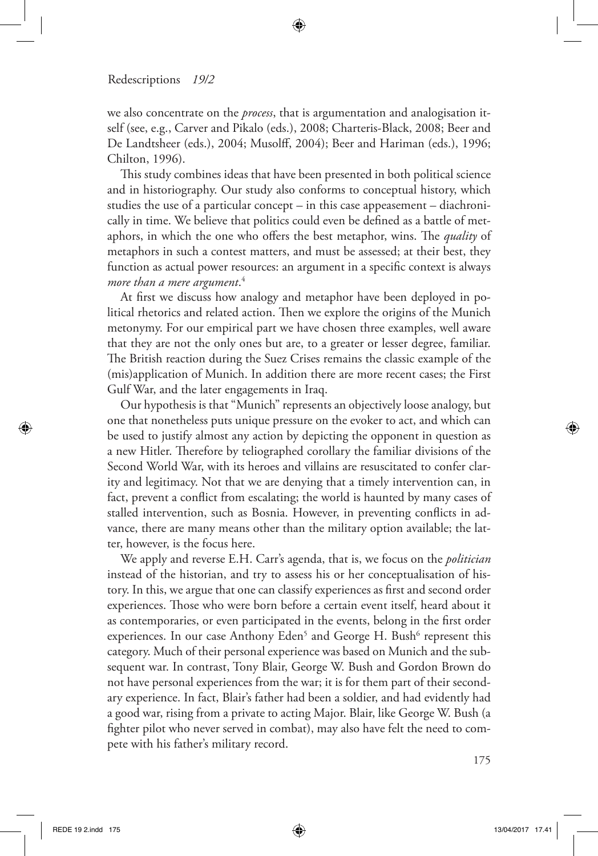we also concentrate on the *process*, that is argumentation and analogisation itself (see, e.g., Carver and Pikalo (eds.), 2008; Charteris-Black, 2008; Beer and De Landtsheer (eds.), 2004; Musolf, 2004); Beer and Hariman (eds.), 1996; Chilton, 1996).

⊕

This study combines ideas that have been presented in both political science and in historiography. Our study also conforms to conceptual history, which studies the use of a particular concept – in this case appeasement – diachronically in time. We believe that politics could even be defned as a battle of metaphors, in which the one who offers the best metaphor, wins. The *quality* of metaphors in such a contest matters, and must be assessed; at their best, they function as actual power resources: an argument in a specifc context is always *more than a mere argument*. 4

At frst we discuss how analogy and metaphor have been deployed in political rhetorics and related action. Then we explore the origins of the Munich metonymy. For our empirical part we have chosen three examples, well aware that they are not the only ones but are, to a greater or lesser degree, familiar. The British reaction during the Suez Crises remains the classic example of the (mis)application of Munich. In addition there are more recent cases; the First Gulf War, and the later engagements in Iraq.

Our hypothesis is that "Munich" represents an objectively loose analogy, but one that nonetheless puts unique pressure on the evoker to act, and which can be used to justify almost any action by depicting the opponent in question as a new Hitler. Therefore by teliographed corollary the familiar divisions of the Second World War, with its heroes and villains are resuscitated to confer clarity and legitimacy. Not that we are denying that a timely intervention can, in fact, prevent a confict from escalating; the world is haunted by many cases of stalled intervention, such as Bosnia. However, in preventing conficts in advance, there are many means other than the military option available; the latter, however, is the focus here.

We apply and reverse E.H. Carr's agenda, that is, we focus on the *politician*  instead of the historian, and try to assess his or her conceptualisation of history. In this, we argue that one can classify experiences as frst and second order experiences. Those who were born before a certain event itself, heard about it as contemporaries, or even participated in the events, belong in the frst order experiences. In our case Anthony Eden<sup>5</sup> and George H. Bush<sup>6</sup> represent this category. Much of their personal experience was based on Munich and the subsequent war. In contrast, Tony Blair, George W. Bush and Gordon Brown do not have personal experiences from the war; it is for them part of their secondary experience. In fact, Blair's father had been a soldier, and had evidently had a good war, rising from a private to acting Major. Blair, like George W. Bush (a fghter pilot who never served in combat), may also have felt the need to compete with his father's military record.

⊕

⊕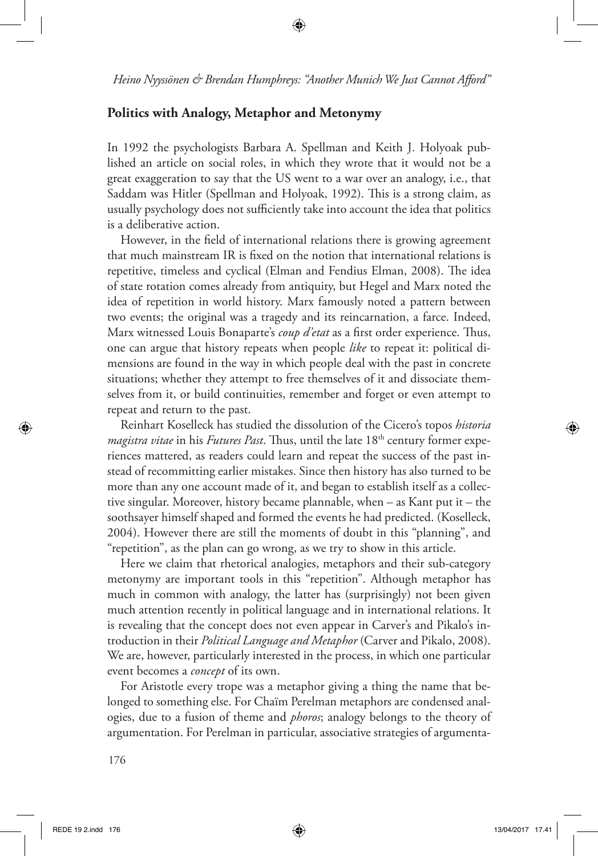## **Politics with Analogy, Metaphor and Metonymy**

In 1992 the psychologists Barbara A. Spellman and Keith J. Holyoak published an article on social roles, in which they wrote that it would not be a great exaggeration to say that the US went to a war over an analogy, i.e., that Saddam was Hitler (Spellman and Holyoak, 1992). This is a strong claim, as usually psychology does not sufficiently take into account the idea that politics is a deliberative action.

However, in the feld of international relations there is growing agreement that much mainstream IR is fxed on the notion that international relations is repetitive, timeless and cyclical (Elman and Fendius Elman, 2008). The idea of state rotation comes already from antiquity, but Hegel and Marx noted the idea of repetition in world history. Marx famously noted a pattern between two events; the original was a tragedy and its reincarnation, a farce. Indeed, Marx witnessed Louis Bonaparte's *coup d'etat* as a first order experience. Thus, one can argue that history repeats when people *like* to repeat it: political dimensions are found in the way in which people deal with the past in concrete situations; whether they attempt to free themselves of it and dissociate themselves from it, or build continuities, remember and forget or even attempt to repeat and return to the past.

Reinhart Koselleck has studied the dissolution of the Cicero's topos *historia magistra vitae* in his *Futures Past*. Thus, until the late 18<sup>th</sup> century former experiences mattered, as readers could learn and repeat the success of the past instead of recommitting earlier mistakes. Since then history has also turned to be more than any one account made of it, and began to establish itself as a collective singular. Moreover, history became plannable, when – as Kant put it – the soothsayer himself shaped and formed the events he had predicted. (Koselleck, 2004). However there are still the moments of doubt in this "planning", and "repetition", as the plan can go wrong, as we try to show in this article.

Here we claim that rhetorical analogies, metaphors and their sub-category metonymy are important tools in this "repetition". Although metaphor has much in common with analogy, the latter has (surprisingly) not been given much attention recently in political language and in international relations. It is revealing that the concept does not even appear in Carver's and Pikalo's introduction in their *Political Language and Metaphor* (Carver and Pikalo, 2008). We are, however, particularly interested in the process, in which one particular event becomes a *concept* of its own.

For Aristotle every trope was a metaphor giving a thing the name that belonged to something else. For Chaïm Perelman metaphors are condensed analogies, due to a fusion of theme and *phoros*; analogy belongs to the theory of argumentation. For Perelman in particular, associative strategies of argumenta-

⊕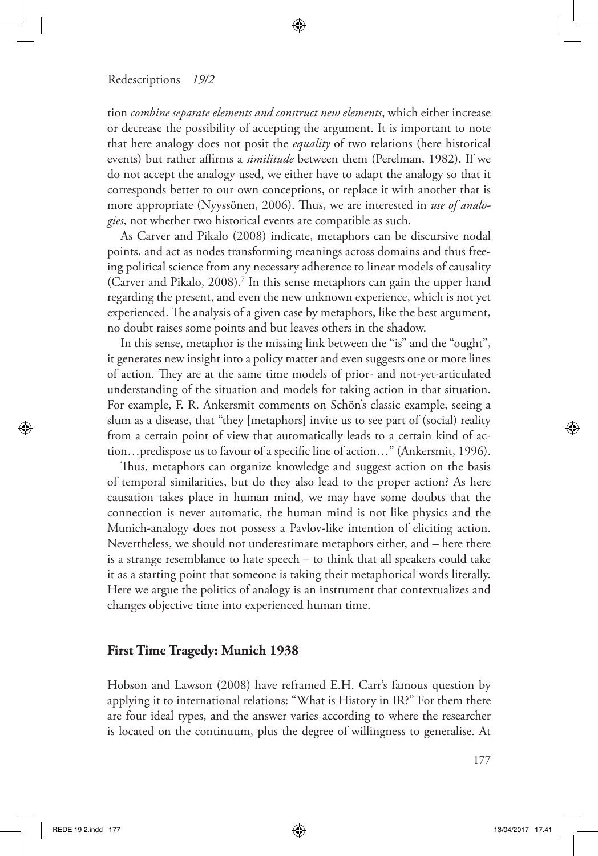tion *combine separate elements and construct new elements*, which either increase or decrease the possibility of accepting the argument. It is important to note that here analogy does not posit the *equality* of two relations (here historical events) but rather affirms a *similitude* between them (Perelman, 1982). If we do not accept the analogy used, we either have to adapt the analogy so that it corresponds better to our own conceptions, or replace it with another that is more appropriate (Nyyssönen, 2006). Thus, we are interested in *use of analogies*, not whether two historical events are compatible as such.

⊕

As Carver and Pikalo (2008) indicate, metaphors can be discursive nodal points, and act as nodes transforming meanings across domains and thus freeing political science from any necessary adherence to linear models of causality (Carver and Pikalo, 2008).<sup>7</sup> In this sense metaphors can gain the upper hand regarding the present, and even the new unknown experience, which is not yet experienced. The analysis of a given case by metaphors, like the best argument, no doubt raises some points and but leaves others in the shadow.

In this sense, metaphor is the missing link between the "is" and the "ought", it generates new insight into a policy matter and even suggests one or more lines of action. They are at the same time models of prior- and not-yet-articulated understanding of the situation and models for taking action in that situation. For example, F. R. Ankersmit comments on Schön's classic example, seeing a slum as a disease, that "they [metaphors] invite us to see part of (social) reality from a certain point of view that automatically leads to a certain kind of action…predispose us to favour of a specifc line of action…" (Ankersmit, 1996).

Thus, metaphors can organize knowledge and suggest action on the basis of temporal similarities, but do they also lead to the proper action? As here causation takes place in human mind, we may have some doubts that the connection is never automatic, the human mind is not like physics and the Munich-analogy does not possess a Pavlov-like intention of eliciting action. Nevertheless, we should not underestimate metaphors either, and – here there is a strange resemblance to hate speech – to think that all speakers could take it as a starting point that someone is taking their metaphorical words literally. Here we argue the politics of analogy is an instrument that contextualizes and changes objective time into experienced human time.

#### **First Time Tragedy: Munich 1938**

Hobson and Lawson (2008) have reframed E.H. Carr's famous question by applying it to international relations: "What is History in IR?" For them there are four ideal types, and the answer varies according to where the researcher is located on the continuum, plus the degree of willingness to generalise. At

177

⊕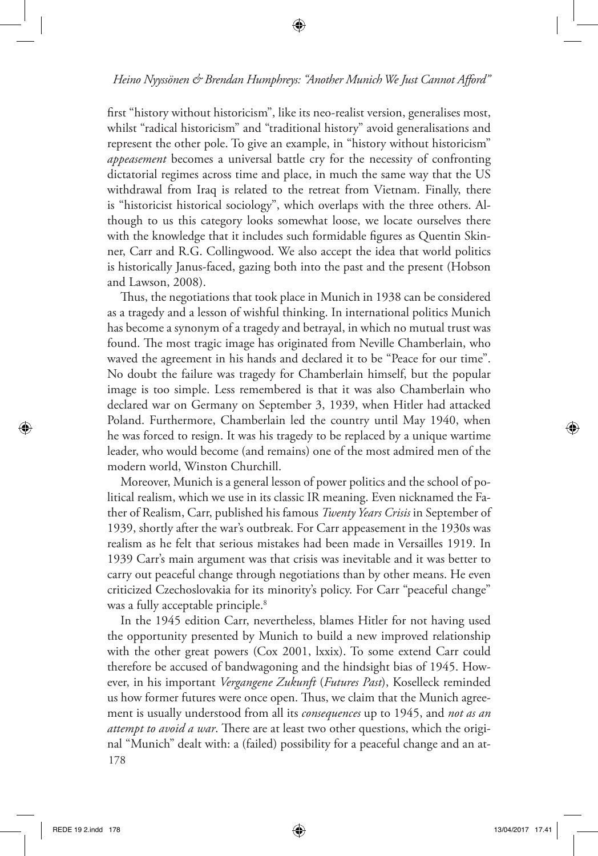⊕

frst "history without historicism", like its neo-realist version, generalises most, whilst "radical historicism" and "traditional history" avoid generalisations and represent the other pole. To give an example, in "history without historicism" *appeasement* becomes a universal battle cry for the necessity of confronting dictatorial regimes across time and place, in much the same way that the US withdrawal from Iraq is related to the retreat from Vietnam. Finally, there is "historicist historical sociology", which overlaps with the three others. Although to us this category looks somewhat loose, we locate ourselves there with the knowledge that it includes such formidable fgures as Quentin Skinner, Carr and R.G. Collingwood. We also accept the idea that world politics is historically Janus-faced, gazing both into the past and the present (Hobson and Lawson, 2008).

Thus, the negotiations that took place in Munich in 1938 can be considered as a tragedy and a lesson of wishful thinking. In international politics Munich has become a synonym of a tragedy and betrayal, in which no mutual trust was found. The most tragic image has originated from Neville Chamberlain, who waved the agreement in his hands and declared it to be "Peace for our time". No doubt the failure was tragedy for Chamberlain himself, but the popular image is too simple. Less remembered is that it was also Chamberlain who declared war on Germany on September 3, 1939, when Hitler had attacked Poland. Furthermore, Chamberlain led the country until May 1940, when he was forced to resign. It was his tragedy to be replaced by a unique wartime leader, who would become (and remains) one of the most admired men of the modern world, Winston Churchill.

Moreover, Munich is a general lesson of power politics and the school of political realism, which we use in its classic IR meaning. Even nicknamed the Father of Realism, Carr, published his famous *Twenty Years Crisis* in September of 1939, shortly after the war's outbreak. For Carr appeasement in the 1930s was realism as he felt that serious mistakes had been made in Versailles 1919. In 1939 Carr's main argument was that crisis was inevitable and it was better to carry out peaceful change through negotiations than by other means. He even criticized Czechoslovakia for its minority's policy. For Carr "peaceful change" was a fully acceptable principle.<sup>8</sup>

178 In the 1945 edition Carr, nevertheless, blames Hitler for not having used the opportunity presented by Munich to build a new improved relationship with the other great powers (Cox 2001, lxxix). To some extend Carr could therefore be accused of bandwagoning and the hindsight bias of 1945. However, in his important *Vergangene Zukunft* (*Futures Past*), Koselleck reminded us how former futures were once open. Thus, we claim that the Munich agreement is usually understood from all its *consequences* up to 1945, and *not as an attempt to avoid a war*. There are at least two other questions, which the original "Munich" dealt with: a (failed) possibility for a peaceful change and an at-

REDE 19 2.indd 178 13/04/2017 17.41

⊕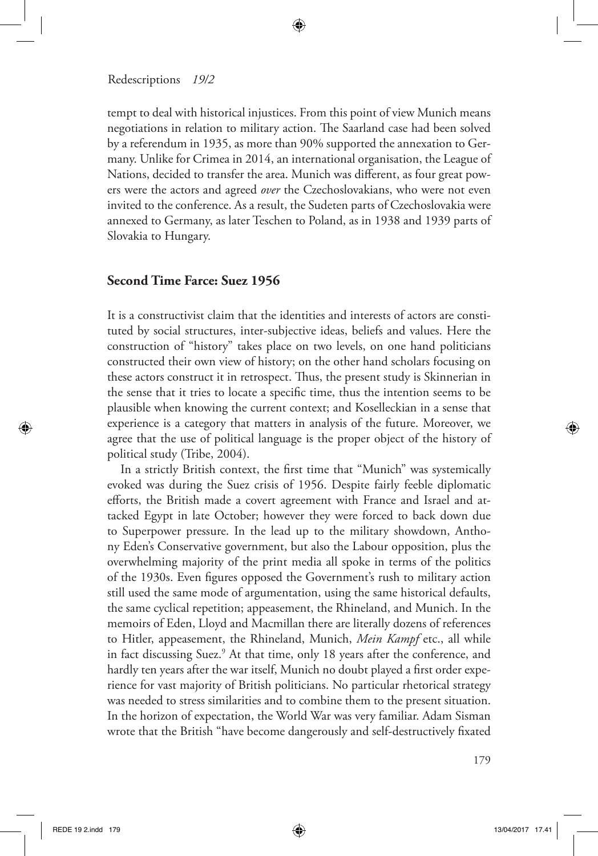tempt to deal with historical injustices. From this point of view Munich means negotiations in relation to military action. The Saarland case had been solved by a referendum in 1935, as more than 90% supported the annexation to Germany. Unlike for Crimea in 2014, an international organisation, the League of Nations, decided to transfer the area. Munich was diferent, as four great powers were the actors and agreed *over* the Czechoslovakians, who were not even invited to the conference. As a result, the Sudeten parts of Czechoslovakia were annexed to Germany, as later Teschen to Poland, as in 1938 and 1939 parts of Slovakia to Hungary.

⊕

# **Second Time Farce: Suez 1956**

It is a constructivist claim that the identities and interests of actors are constituted by social structures, inter-subjective ideas, beliefs and values. Here the construction of "history" takes place on two levels, on one hand politicians constructed their own view of history; on the other hand scholars focusing on these actors construct it in retrospect. Thus, the present study is Skinnerian in the sense that it tries to locate a specifc time, thus the intention seems to be plausible when knowing the current context; and Koselleckian in a sense that experience is a category that matters in analysis of the future. Moreover, we agree that the use of political language is the proper object of the history of political study (Tribe, 2004).

In a strictly British context, the frst time that "Munich" was systemically evoked was during the Suez crisis of 1956. Despite fairly feeble diplomatic eforts, the British made a covert agreement with France and Israel and attacked Egypt in late October; however they were forced to back down due to Superpower pressure. In the lead up to the military showdown, Anthony Eden's Conservative government, but also the Labour opposition, plus the overwhelming majority of the print media all spoke in terms of the politics of the 1930s. Even fgures opposed the Government's rush to military action still used the same mode of argumentation, using the same historical defaults, the same cyclical repetition; appeasement, the Rhineland, and Munich. In the memoirs of Eden, Lloyd and Macmillan there are literally dozens of references to Hitler, appeasement, the Rhineland, Munich, *Mein Kampf* etc., all while in fact discussing Suez.<sup>9</sup> At that time, only 18 years after the conference, and hardly ten years after the war itself, Munich no doubt played a frst order experience for vast majority of British politicians. No particular rhetorical strategy was needed to stress similarities and to combine them to the present situation. In the horizon of expectation, the World War was very familiar. Adam Sisman wrote that the British "have become dangerously and self-destructively fxated

⊕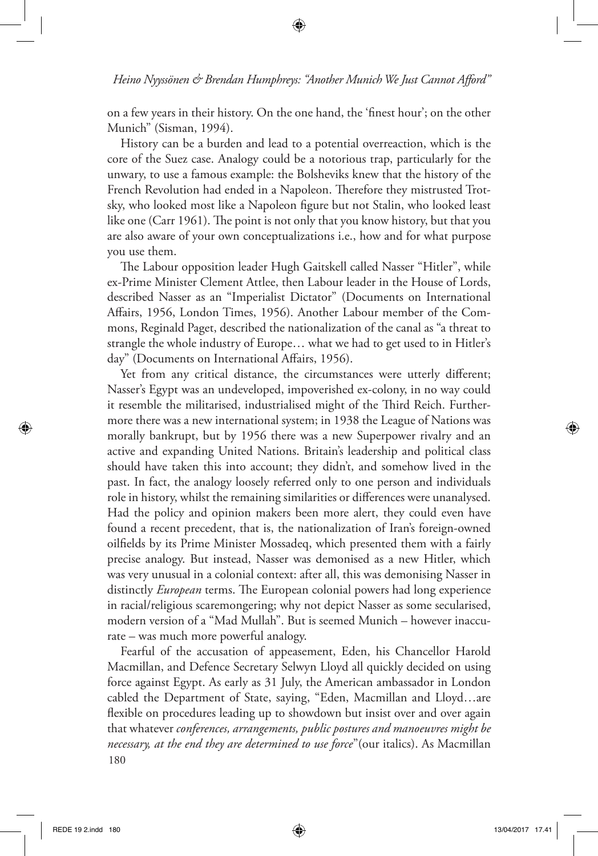⊕

on a few years in their history. On the one hand, the 'fnest hour'; on the other Munich" (Sisman, 1994).

History can be a burden and lead to a potential overreaction, which is the core of the Suez case. Analogy could be a notorious trap, particularly for the unwary, to use a famous example: the Bolsheviks knew that the history of the French Revolution had ended in a Napoleon. Therefore they mistrusted Trotsky, who looked most like a Napoleon fgure but not Stalin, who looked least like one (Carr 1961). The point is not only that you know history, but that you are also aware of your own conceptualizations i.e., how and for what purpose you use them.

The Labour opposition leader Hugh Gaitskell called Nasser "Hitler", while ex-Prime Minister Clement Attlee, then Labour leader in the House of Lords, described Nasser as an "Imperialist Dictator" (Documents on International Afairs, 1956, London Times, 1956). Another Labour member of the Commons, Reginald Paget, described the nationalization of the canal as "a threat to strangle the whole industry of Europe… what we had to get used to in Hitler's day" (Documents on International Afairs, 1956).

Yet from any critical distance, the circumstances were utterly diferent; Nasser's Egypt was an undeveloped, impoverished ex-colony, in no way could it resemble the militarised, industrialised might of the Third Reich. Furthermore there was a new international system; in 1938 the League of Nations was morally bankrupt, but by 1956 there was a new Superpower rivalry and an active and expanding United Nations. Britain's leadership and political class should have taken this into account; they didn't, and somehow lived in the past. In fact, the analogy loosely referred only to one person and individuals role in history, whilst the remaining similarities or diferences were unanalysed. Had the policy and opinion makers been more alert, they could even have found a recent precedent, that is, the nationalization of Iran's foreign-owned oilfelds by its Prime Minister Mossadeq, which presented them with a fairly precise analogy. But instead, Nasser was demonised as a new Hitler, which was very unusual in a colonial context: after all, this was demonising Nasser in distinctly *European* terms. The European colonial powers had long experience in racial/religious scaremongering; why not depict Nasser as some secularised, modern version of a "Mad Mullah". But is seemed Munich – however inaccurate – was much more powerful analogy.

180 Fearful of the accusation of appeasement, Eden, his Chancellor Harold Macmillan, and Defence Secretary Selwyn Lloyd all quickly decided on using force against Egypt. As early as 31 July, the American ambassador in London cabled the Department of State, saying, "Eden, Macmillan and Lloyd…are fexible on procedures leading up to showdown but insist over and over again that whatever *conferences, arrangements, public postures and manoeuvres might be necessary, at the end they are determined to use force*"(our italics). As Macmillan

⊕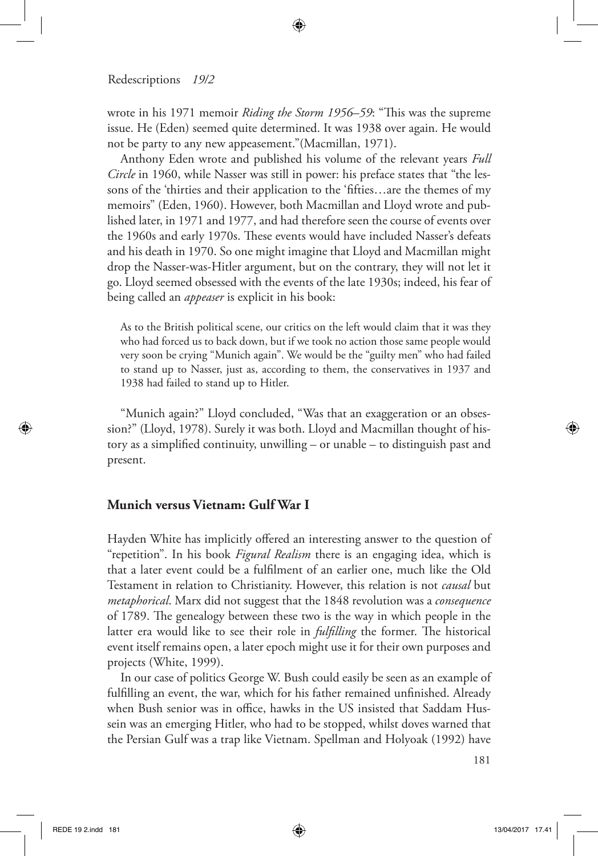wrote in his 1971 memoir *Riding the Storm 1956–59*: "This was the supreme issue. He (Eden) seemed quite determined. It was 1938 over again. He would not be party to any new appeasement."(Macmillan, 1971).

⊕

Anthony Eden wrote and published his volume of the relevant years *Full Circle* in 1960, while Nasser was still in power: his preface states that "the lessons of the 'thirties and their application to the 'ffties…are the themes of my memoirs" (Eden, 1960). However, both Macmillan and Lloyd wrote and published later, in 1971 and 1977, and had therefore seen the course of events over the 1960s and early 1970s. These events would have included Nasser's defeats and his death in 1970. So one might imagine that Lloyd and Macmillan might drop the Nasser-was-Hitler argument, but on the contrary, they will not let it go. Lloyd seemed obsessed with the events of the late 1930s; indeed, his fear of being called an *appeaser* is explicit in his book:

As to the British political scene, our critics on the left would claim that it was they who had forced us to back down, but if we took no action those same people would very soon be crying "Munich again". We would be the "guilty men" who had failed to stand up to Nasser, just as, according to them, the conservatives in 1937 and 1938 had failed to stand up to Hitler.

"Munich again?" Lloyd concluded, "Was that an exaggeration or an obsession?" (Lloyd, 1978). Surely it was both. Lloyd and Macmillan thought of history as a simplifed continuity, unwilling – or unable – to distinguish past and present.

## **Munich versus Vietnam: Gulf War I**

Hayden White has implicitly offered an interesting answer to the question of "repetition". In his book *Figural Realism* there is an engaging idea, which is that a later event could be a fulflment of an earlier one, much like the Old Testament in relation to Christianity. However, this relation is not *causal* but *metaphorical*. Marx did not suggest that the 1848 revolution was a *consequence*  of 1789. The genealogy between these two is the way in which people in the latter era would like to see their role in *fulfilling* the former. The historical event itself remains open, a later epoch might use it for their own purposes and projects (White, 1999).

In our case of politics George W. Bush could easily be seen as an example of fulflling an event, the war, which for his father remained unfnished. Already when Bush senior was in office, hawks in the US insisted that Saddam Hussein was an emerging Hitler, who had to be stopped, whilst doves warned that the Persian Gulf was a trap like Vietnam. Spellman and Holyoak (1992) have

181

⊕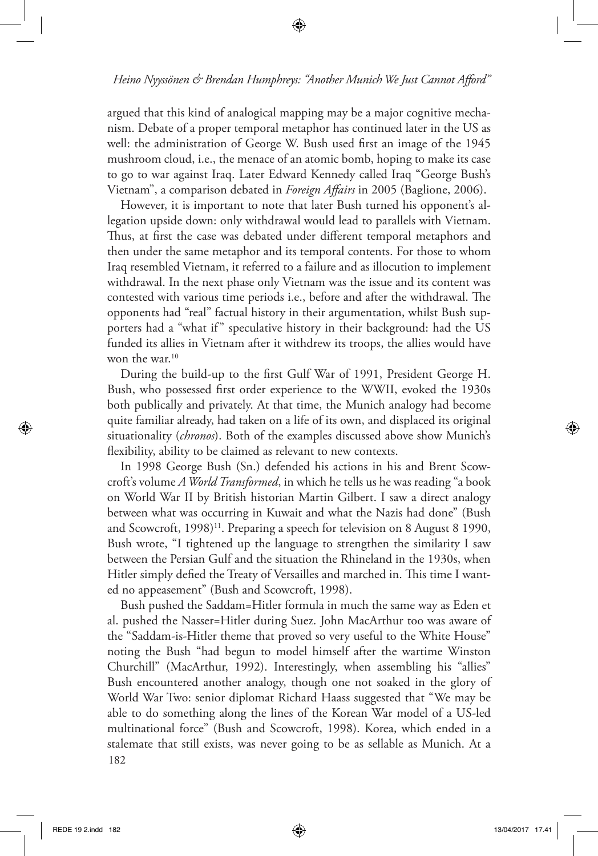⊕

argued that this kind of analogical mapping may be a major cognitive mechanism. Debate of a proper temporal metaphor has continued later in the US as well: the administration of George W. Bush used frst an image of the 1945 mushroom cloud, i.e., the menace of an atomic bomb, hoping to make its case to go to war against Iraq. Later Edward Kennedy called Iraq "George Bush's Vietnam", a comparison debated in *Foreign Afairs* in 2005 (Baglione, 2006).

However, it is important to note that later Bush turned his opponent's allegation upside down: only withdrawal would lead to parallels with Vietnam. Thus, at first the case was debated under different temporal metaphors and then under the same metaphor and its temporal contents. For those to whom Iraq resembled Vietnam, it referred to a failure and as illocution to implement withdrawal. In the next phase only Vietnam was the issue and its content was contested with various time periods i.e., before and after the withdrawal. The opponents had "real" factual history in their argumentation, whilst Bush supporters had a "what if" speculative history in their background: had the US funded its allies in Vietnam after it withdrew its troops, the allies would have won the war.<sup>10</sup>

During the build-up to the frst Gulf War of 1991, President George H. Bush, who possessed frst order experience to the WWII, evoked the 1930s both publically and privately. At that time, the Munich analogy had become quite familiar already, had taken on a life of its own, and displaced its original situationality (*chronos*). Both of the examples discussed above show Munich's fexibility, ability to be claimed as relevant to new contexts.

In 1998 George Bush (Sn.) defended his actions in his and Brent Scowcroft's volume *A World Transformed*, in which he tells us he was reading "a book on World War II by British historian Martin Gilbert. I saw a direct analogy between what was occurring in Kuwait and what the Nazis had done" (Bush and Scowcroft, 1998)<sup>11</sup>. Preparing a speech for television on 8 August 8 1990, Bush wrote, "I tightened up the language to strengthen the similarity I saw between the Persian Gulf and the situation the Rhineland in the 1930s, when Hitler simply defied the Treaty of Versailles and marched in. This time I wanted no appeasement" (Bush and Scowcroft, 1998).

182 Bush pushed the Saddam=Hitler formula in much the same way as Eden et al. pushed the Nasser=Hitler during Suez. John MacArthur too was aware of the "Saddam-is-Hitler theme that proved so very useful to the White House" noting the Bush "had begun to model himself after the wartime Winston Churchill" (MacArthur, 1992). Interestingly, when assembling his "allies" Bush encountered another analogy, though one not soaked in the glory of World War Two: senior diplomat Richard Haass suggested that "We may be able to do something along the lines of the Korean War model of a US-led multinational force" (Bush and Scowcroft, 1998). Korea, which ended in a stalemate that still exists, was never going to be as sellable as Munich. At a

⊕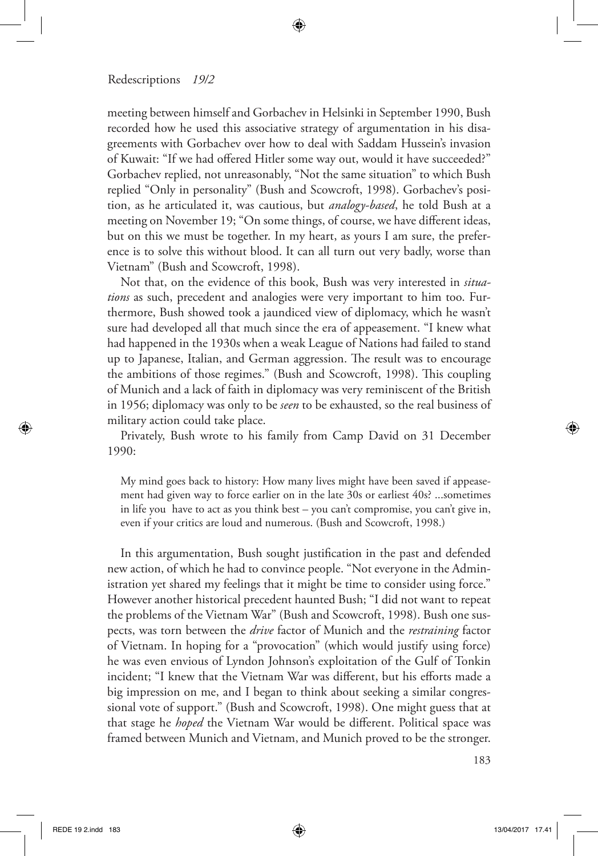meeting between himself and Gorbachev in Helsinki in September 1990, Bush recorded how he used this associative strategy of argumentation in his disagreements with Gorbachev over how to deal with Saddam Hussein's invasion of Kuwait: "If we had ofered Hitler some way out, would it have succeeded?" Gorbachev replied, not unreasonably, "Not the same situation" to which Bush replied "Only in personality" (Bush and Scowcroft, 1998). Gorbachev's position, as he articulated it, was cautious, but *analogy-based*, he told Bush at a meeting on November 19; "On some things, of course, we have diferent ideas, but on this we must be together. In my heart, as yours I am sure, the preference is to solve this without blood. It can all turn out very badly, worse than Vietnam" (Bush and Scowcroft, 1998).

⊕

Not that, on the evidence of this book, Bush was very interested in *situations* as such, precedent and analogies were very important to him too. Furthermore, Bush showed took a jaundiced view of diplomacy, which he wasn't sure had developed all that much since the era of appeasement. "I knew what had happened in the 1930s when a weak League of Nations had failed to stand up to Japanese, Italian, and German aggression. The result was to encourage the ambitions of those regimes." (Bush and Scowcroft, 1998). This coupling of Munich and a lack of faith in diplomacy was very reminiscent of the British in 1956; diplomacy was only to be *seen* to be exhausted, so the real business of military action could take place.

Privately, Bush wrote to his family from Camp David on 31 December 1990:

My mind goes back to history: How many lives might have been saved if appeasement had given way to force earlier on in the late 30s or earliest 40s? ...sometimes in life you have to act as you think best – you can't compromise, you can't give in, even if your critics are loud and numerous. (Bush and Scowcroft, 1998.)

In this argumentation, Bush sought justifcation in the past and defended new action, of which he had to convince people. "Not everyone in the Administration yet shared my feelings that it might be time to consider using force." However another historical precedent haunted Bush; "I did not want to repeat the problems of the Vietnam War" (Bush and Scowcroft, 1998). Bush one suspects, was torn between the *drive* factor of Munich and the *restraining* factor of Vietnam. In hoping for a "provocation" (which would justify using force) he was even envious of Lyndon Johnson's exploitation of the Gulf of Tonkin incident; "I knew that the Vietnam War was different, but his efforts made a big impression on me, and I began to think about seeking a similar congressional vote of support." (Bush and Scowcroft, 1998). One might guess that at that stage he *hoped* the Vietnam War would be diferent. Political space was framed between Munich and Vietnam, and Munich proved to be the stronger.

⊕

↔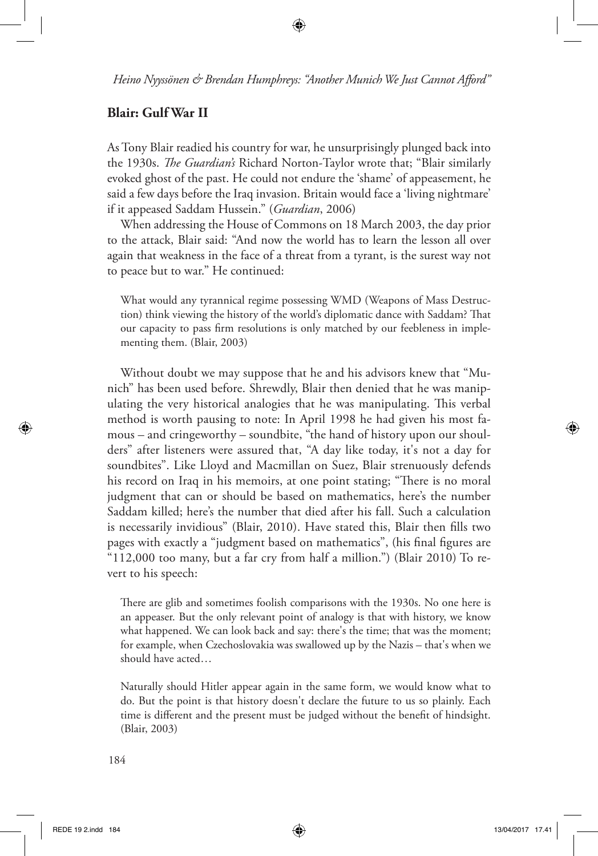## **Blair: Gulf War II**

As Tony Blair readied his country for war, he unsurprisingly plunged back into the 1930s. *Te Guardian's* Richard Norton-Taylor wrote that; "Blair similarly evoked ghost of the past. He could not endure the 'shame' of appeasement, he said a few days before the Iraq invasion. Britain would face a 'living nightmare' if it appeased Saddam Hussein." (*Guardian*, 2006)

When addressing the House of Commons on 18 March 2003, the day prior to the attack, Blair said: "And now the world has to learn the lesson all over again that weakness in the face of a threat from a tyrant, is the surest way not to peace but to war." He continued:

What would any tyrannical regime possessing WMD (Weapons of Mass Destruction) think viewing the history of the world's diplomatic dance with Saddam? That our capacity to pass frm resolutions is only matched by our feebleness in implementing them. (Blair, 2003)

Without doubt we may suppose that he and his advisors knew that "Munich" has been used before. Shrewdly, Blair then denied that he was manipulating the very historical analogies that he was manipulating. This verbal method is worth pausing to note: In April 1998 he had given his most famous – and cringeworthy – soundbite, "the hand of history upon our shoulders" after listeners were assured that, "A day like today, it's not a day for soundbites". Like Lloyd and Macmillan on Suez, Blair strenuously defends his record on Iraq in his memoirs, at one point stating; "There is no moral judgment that can or should be based on mathematics, here's the number Saddam killed; here's the number that died after his fall. Such a calculation is necessarily invidious" (Blair, 2010). Have stated this, Blair then flls two pages with exactly a "judgment based on mathematics", (his fnal fgures are "112,000 too many, but a far cry from half a million.") (Blair 2010) To revert to his speech:

There are glib and sometimes foolish comparisons with the 1930s. No one here is an appeaser. But the only relevant point of analogy is that with history, we know what happened. We can look back and say: there's the time; that was the moment; for example, when Czechoslovakia was swallowed up by the Nazis – that's when we should have acted…

Naturally should Hitler appear again in the same form, we would know what to do. But the point is that history doesn't declare the future to us so plainly. Each time is diferent and the present must be judged without the beneft of hindsight. (Blair, 2003)

⊕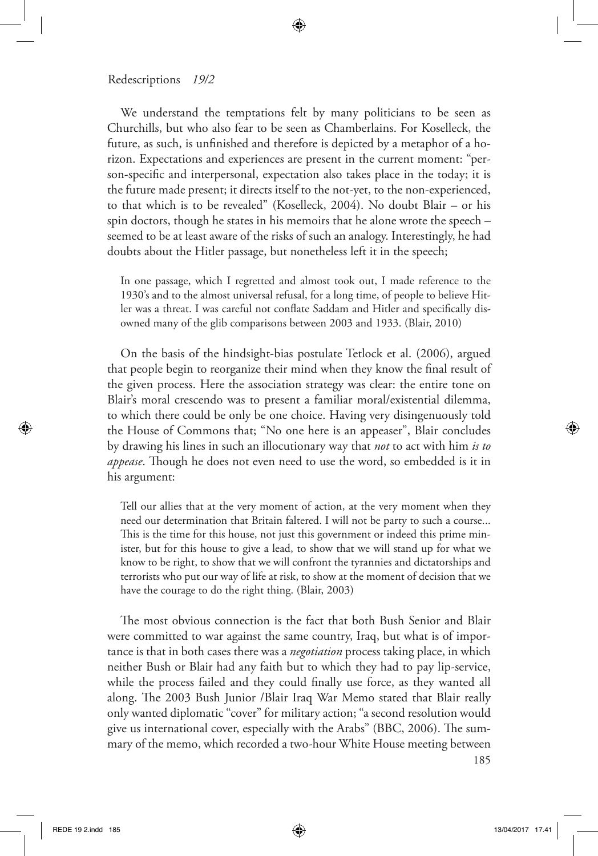#### Redescriptions *19/2*

We understand the temptations felt by many politicians to be seen as Churchills, but who also fear to be seen as Chamberlains. For Koselleck, the future, as such, is unfnished and therefore is depicted by a metaphor of a horizon. Expectations and experiences are present in the current moment: "person-specifc and interpersonal, expectation also takes place in the today; it is the future made present; it directs itself to the not-yet, to the non-experienced, to that which is to be revealed" (Koselleck, 2004). No doubt Blair – or his spin doctors, though he states in his memoirs that he alone wrote the speech – seemed to be at least aware of the risks of such an analogy. Interestingly, he had doubts about the Hitler passage, but nonetheless left it in the speech;

In one passage, which I regretted and almost took out, I made reference to the 1930's and to the almost universal refusal, for a long time, of people to believe Hitler was a threat. I was careful not confate Saddam and Hitler and specifcally disowned many of the glib comparisons between 2003 and 1933. (Blair, 2010)

On the basis of the hindsight-bias postulate Tetlock et al. (2006), argued that people begin to reorganize their mind when they know the fnal result of the given process. Here the association strategy was clear: the entire tone on Blair's moral crescendo was to present a familiar moral/existential dilemma, to which there could be only be one choice. Having very disingenuously told the House of Commons that; "No one here is an appeaser", Blair concludes by drawing his lines in such an illocutionary way that *not* to act with him *is to appease*. Though he does not even need to use the word, so embedded is it in his argument:

Tell our allies that at the very moment of action, at the very moment when they need our determination that Britain faltered. I will not be party to such a course... This is the time for this house, not just this government or indeed this prime minister, but for this house to give a lead, to show that we will stand up for what we know to be right, to show that we will confront the tyrannies and dictatorships and terrorists who put our way of life at risk, to show at the moment of decision that we have the courage to do the right thing. (Blair, 2003)

185 The most obvious connection is the fact that both Bush Senior and Blair were committed to war against the same country, Iraq, but what is of importance is that in both cases there was a *negotiation* process taking place, in which neither Bush or Blair had any faith but to which they had to pay lip-service, while the process failed and they could fnally use force, as they wanted all along. The 2003 Bush Junior /Blair Iraq War Memo stated that Blair really only wanted diplomatic "cover" for military action; "a second resolution would give us international cover, especially with the Arabs" (BBC, 2006). The summary of the memo, which recorded a two-hour White House meeting between

⊕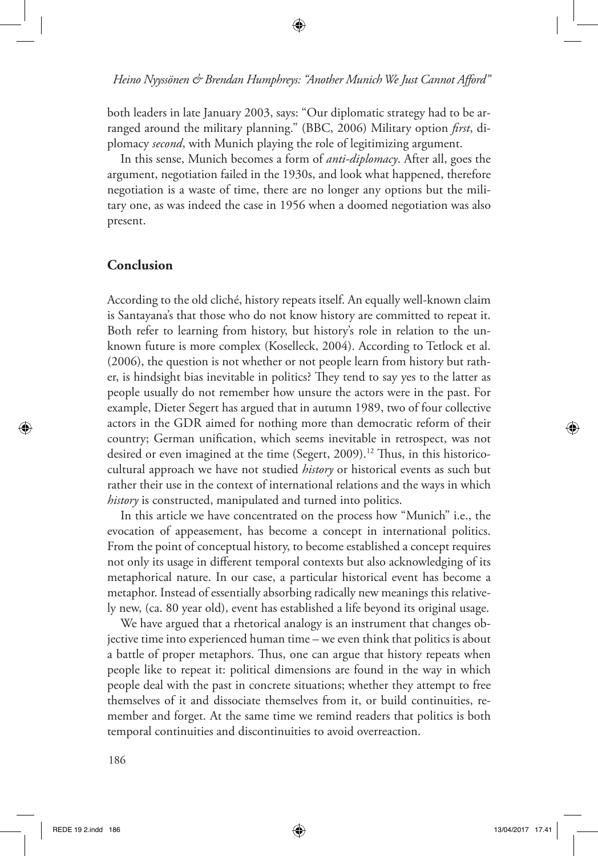⊕

both leaders in late January 2003, says: "Our diplomatic strategy had to be arranged around the military planning." (BBC, 2006) Military option *frst*, diplomacy *second*, with Munich playing the role of legitimizing argument.

In this sense, Munich becomes a form of *anti-diplomacy*. After all, goes the argument, negotiation failed in the 1930s, and look what happened, therefore negotiation is a waste of time, there are no longer any options but the military one, as was indeed the case in 1956 when a doomed negotiation was also present.

## **Conclusion**

According to the old cliché, history repeats itself. An equally well-known claim is Santayana's that those who do not know history are committed to repeat it. Both refer to learning from history, but history's role in relation to the unknown future is more complex (Koselleck, 2004). According to Tetlock et al. (2006), the question is not whether or not people learn from history but rather, is hindsight bias inevitable in politics? They tend to say yes to the latter as people usually do not remember how unsure the actors were in the past. For example, Dieter Segert has argued that in autumn 1989, two of four collective actors in the GDR aimed for nothing more than democratic reform of their country; German unifcation, which seems inevitable in retrospect, was not desired or even imagined at the time (Segert, 2009).<sup>12</sup> Thus, in this historicocultural approach we have not studied *history* or historical events as such but rather their use in the context of international relations and the ways in which *history* is constructed, manipulated and turned into politics.

In this article we have concentrated on the process how "Munich" i.e., the evocation of appeasement, has become a concept in international politics. From the point of conceptual history, to become established a concept requires not only its usage in diferent temporal contexts but also acknowledging of its metaphorical nature. In our case, a particular historical event has become a metaphor. Instead of essentially absorbing radically new meanings this relatively new, (ca. 80 year old), event has established a life beyond its original usage.

We have argued that a rhetorical analogy is an instrument that changes objective time into experienced human time – we even think that politics is about a battle of proper metaphors. Thus, one can argue that history repeats when people like to repeat it: political dimensions are found in the way in which people deal with the past in concrete situations; whether they attempt to free themselves of it and dissociate themselves from it, or build continuities, remember and forget. At the same time we remind readers that politics is both temporal continuities and discontinuities to avoid overreaction.

⊕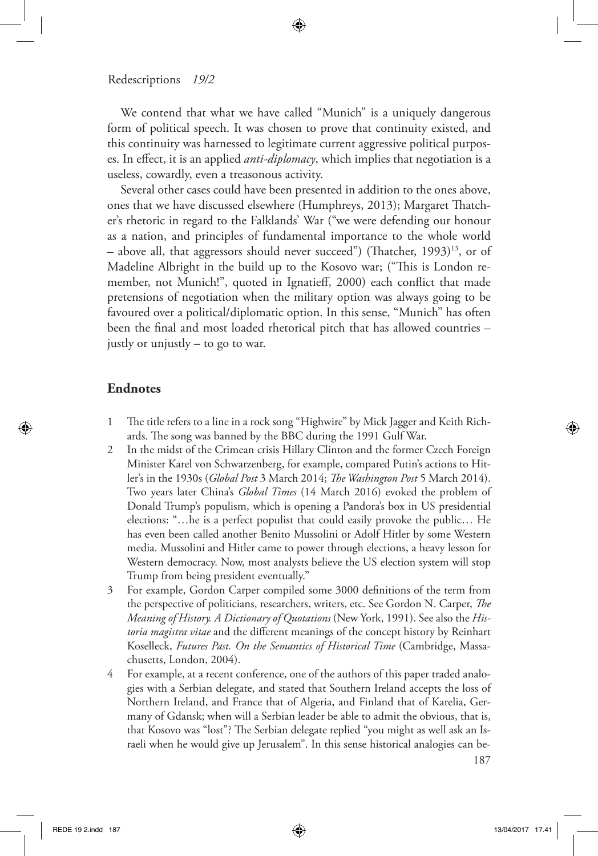We contend that what we have called "Munich" is a uniquely dangerous form of political speech. It was chosen to prove that continuity existed, and this continuity was harnessed to legitimate current aggressive political purposes. In efect, it is an applied *anti-diplomacy*, which implies that negotiation is a useless, cowardly, even a treasonous activity.

⊕

Several other cases could have been presented in addition to the ones above, ones that we have discussed elsewhere (Humphreys, 2013); Margaret Tatcher's rhetoric in regard to the Falklands' War ("we were defending our honour as a nation, and principles of fundamental importance to the whole world – above all, that aggressors should never succeed") (Thatcher, 1993)<sup>13</sup>, or of Madeline Albright in the build up to the Kosovo war; ("This is London remember, not Munich!", quoted in Ignatief, 2000) each confict that made pretensions of negotiation when the military option was always going to be favoured over a political/diplomatic option. In this sense, "Munich" has often been the fnal and most loaded rhetorical pitch that has allowed countries – justly or unjustly – to go to war.

## **Endnotes**

◈

- 1 The title refers to a line in a rock song "Highwire" by Mick Jagger and Keith Richards. The song was banned by the BBC during the 1991 Gulf War.
- 2 In the midst of the Crimean crisis Hillary Clinton and the former Czech Foreign Minister Karel von Schwarzenberg, for example, compared Putin's actions to Hitler's in the 1930s (*Global Post* 3 March 2014; *Te Washington Post* 5 March 2014). Two years later China's *Global Times* (14 March 2016) evoked the problem of Donald Trump's populism, which is opening a Pandora's box in US presidential elections: "…he is a perfect populist that could easily provoke the public… He has even been called another Benito Mussolini or Adolf Hitler by some Western media. Mussolini and Hitler came to power through elections, a heavy lesson for Western democracy. Now, most analysts believe the US election system will stop Trump from being president eventually."
- 3 For example, Gordon Carper compiled some 3000 defnitions of the term from the perspective of politicians, researchers, writers, etc. See Gordon N. Carper, *Te Meaning of History. A Dictionary of Quotations* (New York, 1991). See also the *Historia magistra vitae* and the diferent meanings of the concept history by Reinhart Koselleck, *Futures Past. On the Semantics of Historical Time* (Cambridge, Massachusetts, London, 2004).
- 4 For example, at a recent conference, one of the authors of this paper traded analogies with a Serbian delegate, and stated that Southern Ireland accepts the loss of Northern Ireland, and France that of Algeria, and Finland that of Karelia, Germany of Gdansk; when will a Serbian leader be able to admit the obvious, that is, that Kosovo was "lost"? The Serbian delegate replied "you might as well ask an Israeli when he would give up Jerusalem". In this sense historical analogies can be-

187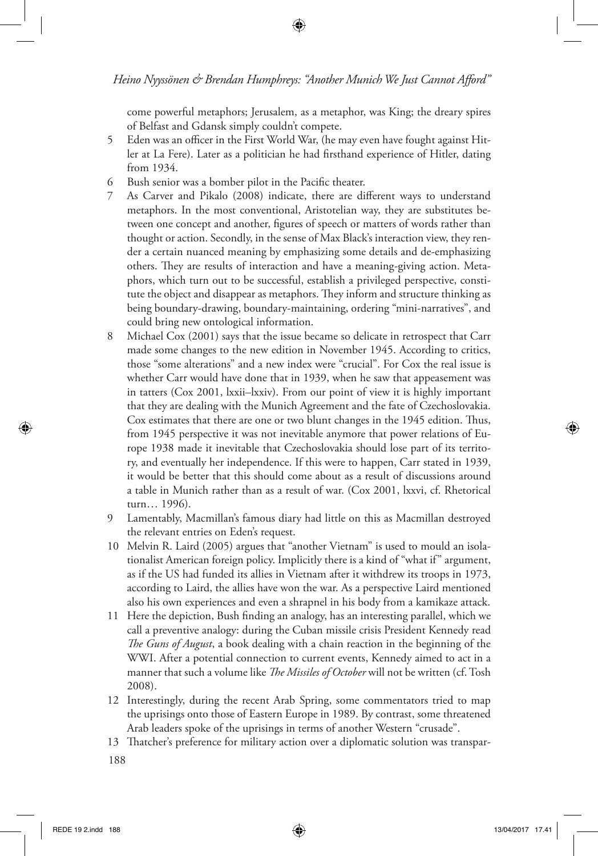come powerful metaphors; Jerusalem, as a metaphor, was King; the dreary spires of Belfast and Gdansk simply couldn't compete.

- 5 Eden was an officer in the First World War, (he may even have fought against Hitler at La Fere). Later as a politician he had frsthand experience of Hitler, dating from 1934.
- 6 Bush senior was a bomber pilot in the Pacifc theater.
- 7 As Carver and Pikalo (2008) indicate, there are diferent ways to understand metaphors. In the most conventional, Aristotelian way, they are substitutes between one concept and another, fgures of speech or matters of words rather than thought or action. Secondly, in the sense of Max Black's interaction view, they render a certain nuanced meaning by emphasizing some details and de-emphasizing others. They are results of interaction and have a meaning-giving action. Metaphors, which turn out to be successful, establish a privileged perspective, constitute the object and disappear as metaphors. They inform and structure thinking as being boundary-drawing, boundary-maintaining, ordering "mini-narratives", and could bring new ontological information.
- 8 Michael Cox (2001) says that the issue became so delicate in retrospect that Carr made some changes to the new edition in November 1945. According to critics, those "some alterations" and a new index were "crucial". For Cox the real issue is whether Carr would have done that in 1939, when he saw that appeasement was in tatters (Cox 2001, lxxii–lxxiv). From our point of view it is highly important that they are dealing with the Munich Agreement and the fate of Czechoslovakia. Cox estimates that there are one or two blunt changes in the 1945 edition. Thus, from 1945 perspective it was not inevitable anymore that power relations of Europe 1938 made it inevitable that Czechoslovakia should lose part of its territory, and eventually her independence. If this were to happen, Carr stated in 1939, it would be better that this should come about as a result of discussions around a table in Munich rather than as a result of war. (Cox 2001, lxxvi, cf. Rhetorical turn… 1996).
- 9 Lamentably, Macmillan's famous diary had little on this as Macmillan destroyed the relevant entries on Eden's request.
- 10 Melvin R. Laird (2005) argues that "another Vietnam" is used to mould an isolationalist American foreign policy. Implicitly there is a kind of "what if" argument, as if the US had funded its allies in Vietnam after it withdrew its troops in 1973, according to Laird, the allies have won the war. As a perspective Laird mentioned also his own experiences and even a shrapnel in his body from a kamikaze attack.
- 11 Here the depiction, Bush fnding an analogy, has an interesting parallel, which we call a preventive analogy: during the Cuban missile crisis President Kennedy read *Te Guns of August*, a book dealing with a chain reaction in the beginning of the WWI. After a potential connection to current events, Kennedy aimed to act in a manner that such a volume like *Te Missiles of October* will not be written (cf. Tosh 2008).
- 12 Interestingly, during the recent Arab Spring, some commentators tried to map the uprisings onto those of Eastern Europe in 1989. By contrast, some threatened Arab leaders spoke of the uprisings in terms of another Western "crusade".
- 13 Tatcher's preference for military action over a diplomatic solution was transpar-
- 188

↔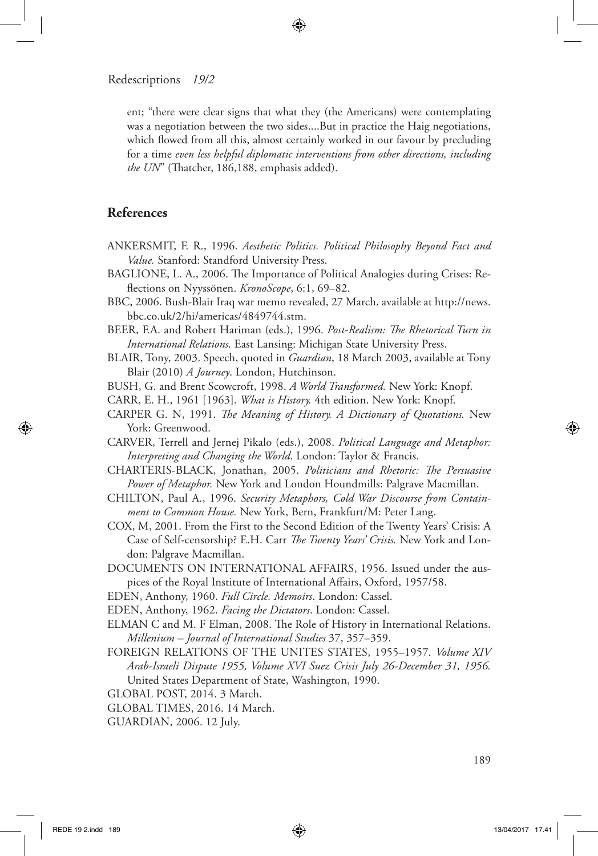ent; "there were clear signs that what they (the Americans) were contemplating was a negotiation between the two sides....But in practice the Haig negotiations, which flowed from all this, almost certainly worked in our favour by precluding for a time *even less helpful diplomatic interventions from other directions, including*  the UN" (Thatcher, 186,188, emphasis added).

⊕

# **References**

- ANKERSMIT, F. R., 1996. *Aesthetic Politics. Political Philosophy Beyond Fact and Value.* Stanford: Standford University Press.
- BAGLIONE, L. A., 2006. The Importance of Political Analogies during Crises: Refections on Nyyssönen. *KronoScope*, 6:1, 69–82.
- BBC, 2006. Bush-Blair Iraq war memo revealed, 27 March, available at http://news. bbc.co.uk/2/hi/americas/4849744.stm.
- BEER, F.A. and Robert Hariman (eds.), 1996. *Post-Realism: Te Rhetorical Turn in International Relations.* East Lansing: Michigan State University Press.
- BLAIR, Tony, 2003. Speech, quoted in *Guardian*, 18 March 2003, available at Tony Blair (2010) *A Journey*. London, Hutchinson.
- BUSH, G. and Brent Scowcroft, 1998. *A World Transformed.* New York: Knopf.
- CARR, E. H., 1961 [1963]. *What is History.* 4th edition. New York: Knopf.
- CARPER G. N, 1991. *Te Meaning of History. A Dictionary of Quotations.* New York: Greenwood.
- CARVER, Terrell and Jernej Pikalo (eds.), 2008. *Political Language and Metaphor: Interpreting and Changing the World*. London: Taylor & Francis.
- CHARTERIS-BLACK, Jonathan, 2005. *Politicians and Rhetoric: Te Persuasive Power of Metaphor.* New York and London Houndmills: Palgrave Macmillan.
- CHILTON, Paul A., 1996. *Security Metaphors, Cold War Discourse from Containment to Common House.* New York, Bern, Frankfurt/M: Peter Lang.
- COX, M, 2001. From the First to the Second Edition of the Twenty Years' Crisis: A Case of Self-censorship? E.H. Carr *Te Twenty Years' Crisis.* New York and London: Palgrave Macmillan.
- DOCUMENTS ON INTERNATIONAL AFFAIRS, 1956. Issued under the auspices of the Royal Institute of International Afairs, Oxford, 1957/58.
- EDEN, Anthony, 1960. *Full Circle. Memoirs*. London: Cassel.
- EDEN, Anthony, 1962. *Facing the Dictators*. London: Cassel.
- ELMAN C and M. F Elman, 2008. The Role of History in International Relations. *Millenium – Journal of International Studies* 37, 357–359.
- FOREIGN RELATIONS OF THE UNITES STATES, 1955–1957. *Volume XIV Arab-Israeli Dispute 1955, Volume XVI Suez Crisis July 26-December 31, 1956.*  United States Department of State, Washington, 1990.
- GLOBAL POST, 2014. 3 March.
- GLOBAL TIMES, 2016. 14 March.
- GUARDIAN, 2006. 12 July.

189

◈